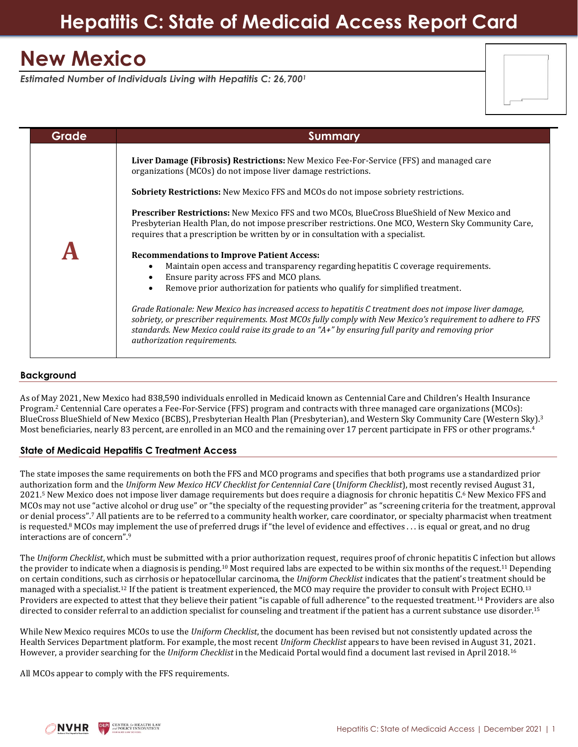# **New Mexico**

*Estimated Number of Individuals Living with Hepatitis C: 26,700<sup>1</sup>*

| Grade | Summary                                                                                                                                                                                                                                                                                                                                                        |
|-------|----------------------------------------------------------------------------------------------------------------------------------------------------------------------------------------------------------------------------------------------------------------------------------------------------------------------------------------------------------------|
|       | Liver Damage (Fibrosis) Restrictions: New Mexico Fee-For-Service (FFS) and managed care<br>organizations (MCOs) do not impose liver damage restrictions.                                                                                                                                                                                                       |
|       | <b>Sobriety Restrictions:</b> New Mexico FFS and MCOs do not impose sobriety restrictions.                                                                                                                                                                                                                                                                     |
|       | <b>Prescriber Restrictions:</b> New Mexico FFS and two MCOs, BlueCross BlueShield of New Mexico and<br>Presbyterian Health Plan, do not impose prescriber restrictions. One MCO, Western Sky Community Care,<br>requires that a prescription be written by or in consultation with a specialist.                                                               |
|       | <b>Recommendations to Improve Patient Access:</b><br>Maintain open access and transparency regarding hepatitis C coverage requirements.<br>Ensure parity across FFS and MCO plans.<br>Remove prior authorization for patients who qualify for simplified treatment.                                                                                            |
|       | Grade Rationale: New Mexico has increased access to hepatitis C treatment does not impose liver damage,<br>sobriety, or prescriber requirements. Most MCOs fully comply with New Mexico's requirement to adhere to FFS<br>standards. New Mexico could raise its grade to an " $A+$ " by ensuring full parity and removing prior<br>authorization requirements. |

## **Background**

As of May 2021, New Mexico had 838,590 individuals enrolled in Medicaid known as Centennial Care and Children's Health Insurance Program. <sup>2</sup> Centennial Care operates a Fee-For-Service (FFS) program and contracts with three managed care organizations (MCOs): BlueCross BlueShield of New Mexico (BCBS), Presbyterian Health Plan (Presbyterian), and Western Sky Community Care (Western Sky). 3 Most beneficiaries, nearly 83 percent, are enrolled in an MCO and the remaining over 17 percent participate in FFS or other programs. 4

## **State of Medicaid Hepatitis C Treatment Access**

The state imposes the same requirements on both the FFS and MCO programs and specifies that both programs use a standardized prior authorization form and the *Uniform New Mexico HCV Checklist for Centennial Care* (*Uniform Checklist*), most recently revised August 31, 2021. <sup>5</sup> New Mexico does not impose liver damage requirements but does require a diagnosis for chronic hepatitis C. <sup>6</sup> New Mexico FFS and MCOs may not use "active alcohol or drug use" or "the specialty of the requesting provider" as "screening criteria for the treatment, approval or denial process".<sup>7</sup> All patients are to be referred to a community health worker, care coordinator, or specialty pharmacist when treatment is requested.<sup>8</sup> MCOs may implement the use of preferred drugs if "the level of evidence and effectives . . . is equal or great, and no drug interactions are of concern".<sup>9</sup>

The *Uniform Checklist*, which must be submitted with a prior authorization request, requires proof of chronic hepatitis C infection but allows the provider to indicate when a diagnosis is pending.<sup>10</sup> Most required labs are expected to be within six months of the request.<sup>11</sup> Depending on certain conditions, such as cirrhosis or hepatocellular carcinoma, the *Uniform Checklist* indicates that the patient's treatment should be managed with a specialist.<sup>12</sup> If the patient is treatment experienced, the MCO may require the provider to consult with Project ECHO.<sup>13</sup> Providers are expected to attest that they believe their patient "is capable of full adherence" to the requested treatment.<sup>14</sup> Providers are also directed to consider referral to an addiction specialist for counseling and treatment if the patient has a current substance use disorder.<sup>15</sup>

While New Mexico requires MCOs to use the *Uniform Checklist*, the document has been revised but not consistently updated across the Health Services Department platform. For example, the most recent *Uniform Checklist* appears to have been revised in August 31, 2021. However, a provider searching for the *Uniform Checklist* in the Medicaid Portal would find a document last revised in April 2018.<sup>16</sup>

All MCOs appear to comply with the FFS requirements.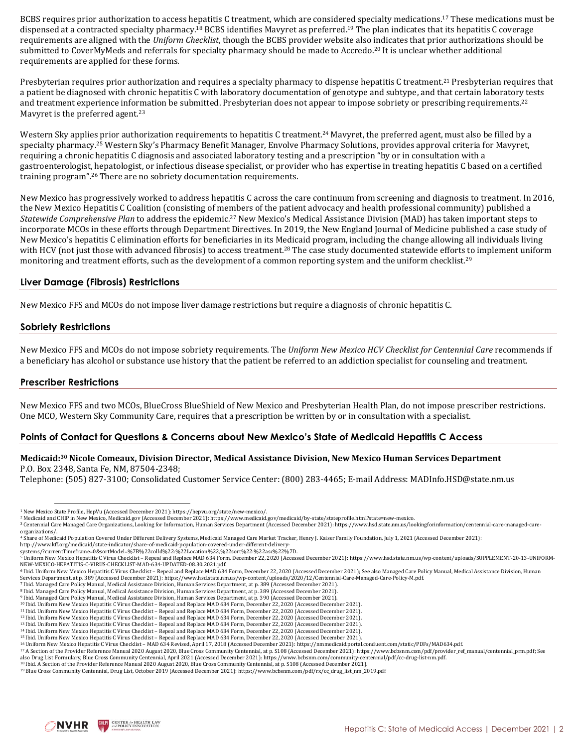BCBS requires prior authorization to access hepatitis C treatment, which are considered specialty medications.<sup>17</sup> These medications must be dispensed at a contracted specialty pharmacy.<sup>18</sup> BCBS identifies Mavyret as preferred.<sup>19</sup> The plan indicates that its hepatitis C coverage requirements are aligned with the *Uniform Checklist*, though the BCBS provider website also indicates that prior authorizations should be submitted to CoverMyMeds and referrals for specialty pharmacy should be made to Accredo. <sup>20</sup> It is unclear whether additional requirements are applied for these forms.

Presbyterian requires prior authorization and requires a specialty pharmacy to dispense hepatitis C treatment.<sup>21</sup> Presbyterian requires that a patient be diagnosed with chronic hepatitis C with laboratory documentation of genotype and subtype, and that certain laboratory tests and treatment experience information be submitted. Presbyterian does not appear to impose sobriety or prescribing requirements.<sup>22</sup> Mavyret is the preferred agent.<sup>23</sup>

Western Sky applies prior authorization requirements to hepatitis C treatment.<sup>24</sup> Mavyret, the preferred agent, must also be filled by a specialty pharmacy. <sup>25</sup> Western Sky's Pharmacy Benefit Manager, Envolve Pharmacy Solutions, provides approval criteria for Mavyret, requiring a chronic hepatitis C diagnosis and associated laboratory testing and a prescription "by or in consultation with a gastroenterologist, hepatologist, or infectious disease specialist, or provider who has expertise in treating hepatitis C based on a certified training program".<sup>26</sup> There are no sobriety documentation requirements.

New Mexico has progressively worked to address hepatitis C across the care continuum from screening and diagnosis to treatment. In 2016, the New Mexico Hepatitis C Coalition (consisting of members of the patient advocacy and health professional community) published a *Statewide Comprehensive Plan* to address the epidemic.<sup>27</sup> New Mexico's Medical Assistance Division (MAD) has taken important steps to incorporate MCOs in these efforts through Department Directives. In 2019, the New England Journal of Medicine published a case study of New Mexico's hepatitis C elimination efforts for beneficiaries in its Medicaid program, including the change allowing all individuals living with HCV (not just those with advanced fibrosis) to access treatment.<sup>28</sup> The case study documented statewide efforts to implement uniform monitoring and treatment efforts, such as the development of a common reporting system and the uniform checklist.<sup>29</sup>

### **Liver Damage (Fibrosis) Restrictions**

New Mexico FFS and MCOs do not impose liver damage restrictions but require a diagnosis of chronic hepatitis C.

#### **Sobriety Restrictions**

New Mexico FFS and MCOs do not impose sobriety requirements. The *Uniform New Mexico HCV Checklist for Centennial Care* recommends if a beneficiary has alcohol or substance use history that the patient be referred to an addiction specialist for counseling and treatment.

#### **Prescriber Restrictions**

New Mexico FFS and two MCOs, BlueCross BlueShield of New Mexico and Presbyterian Health Plan, do not impose prescriber restrictions. One MCO, Western Sky Community Care, requires that a prescription be written by or in consultation with a specialist.

#### **Points of Contact for Questions & Concerns about New Mexico's State of Medicaid Hepatitis C Access**

#### **Medicaid: <sup>30</sup> Nicole Comeaux, Division Director, Medical Assistance Division, New Mexico Human Services Department** P.O. Box 2348, Santa Fe, NM, 87504-2348;

Telephone: (505) 827-3100; Consolidated Customer Service Center: (800) 283-4465; E-mail Address[: MADInfo.HSD@state.nm.us](mailto:nancy.smith-leslie@state.nm.us)



<sup>1</sup> New Mexico State Profile, HepVu (Accessed December 2021)[: https://hepvu.org/state/new-mexico/.](https://hepvu.org/state/new-mexico/)

<sup>2</sup> Medicaid and CHIP in New Mexico, Medicaid.gov (Accessed December 2021)[: https://www.medicaid.gov/medicaid/by-state/stateprofile.html?state=new-mexico.](https://www.medicaid.gov/medicaid/by-state/stateprofile.html?state=new-mexico)

<sup>3</sup> Centennial Care Managed Care Organizations, Looking for Information, Human Services Department (Accessed December 2021): [https://www.hsd.state.nm.us/lookingforinformation/centennial-care-managed-care-](https://www.hsd.state.nm.us/lookingforinformation/centennial-care-managed-care-organizations/)

[organizations/.](https://www.hsd.state.nm.us/lookingforinformation/centennial-care-managed-care-organizations/)

<sup>4</sup> Share of Medicaid Population Covered Under Different Delivery Systems, Medicaid Managed Care Market Tracker, Henry J. Kaiser Family Foundation, July 1, 2021 (Accessed December 2021):

[http://www.kff.org/medicaid/state-indicator/share-of-medicaid-population-covered-under-different-delivery-](http://www.kff.org/medicaid/state-indicator/share-of-medicaid-population-covered-under-different-delivery-systems/?currentTimeframe=0&sortModel=%7B%22colId%22:%22Location%22,%22sort%22:%22asc%22%7D)[systems/?currentTimeframe=0&sortModel=%7B%22colId%22:%22Location%22,%22sort%22:%22asc%22%7D.](http://www.kff.org/medicaid/state-indicator/share-of-medicaid-population-covered-under-different-delivery-systems/?currentTimeframe=0&sortModel=%7B%22colId%22:%22Location%22,%22sort%22:%22asc%22%7D)

<sup>5</sup> Uniform New Mexico Hepatitis C Virus Checklist – Repeal and Replace MAD 634 Form, December 22, 2020 (Accessed December 2021)[: https://www.hsd.state.nm.us/wp-content/uploads/SUPPLEMENT-20-13-UNIFORM-](https://www.hsd.state.nm.us/wp-content/uploads/SUPPLEMENT-20-13-UNIFORM-NEW-MEXICO-HEPATITIS-C-VIRUS-CHECKLIST-MAD-634-UPDATED-08.30.2021.pdf)[NEW-MEXICO-HEPATITIS-C-VIRUS-CHECKLIST-MAD-634-UPDATED-08.30.2021.pdf.](https://www.hsd.state.nm.us/wp-content/uploads/SUPPLEMENT-20-13-UNIFORM-NEW-MEXICO-HEPATITIS-C-VIRUS-CHECKLIST-MAD-634-UPDATED-08.30.2021.pdf) 

<sup>6</sup> Ibid. Uniform New Mexico Hepatitis C Virus Checklist – Repeal and Replace MAD 634 Form, December 22, 2020 (Accessed December 2021); See also Managed Care Policy Manual, Medical Assistance Division, Human Services Department, at p. 389 (Accessed December 2021)[: https://www.hsd.state.nm.us/wp-content/uploads/2020/12/Centennial-Care-Managed-Care-Policy-M.pdf.](https://www.hsd.state.nm.us/wp-content/uploads/2020/12/Centennial-Care-Managed-Care-Policy-M.pdf) 

<sup>7</sup> Ibid. Managed Care Policy Manual, Medical Assistance Division, Human Services Department, at p. 389 (Accessed December 2021). <sup>8</sup> Ibid. Managed Care Policy Manual, Medical Assistance Division, Human Services Department, at p. 389 (Accessed December 2021).

<sup>9</sup> Ibid. Managed Care Policy Manual, Medical Assistance Division, Human Services Department, at p. 390 (Accessed December 2021).

<sup>10</sup> Ibid. Uniform New Mexico Hepatitis C Virus Checklist – Repeal and Replace MAD 634 Form, December 22, 2020 (Accessed December 2021).

<sup>11</sup> Ibid. Uniform New Mexico Hepatitis C Virus Checklist – Repeal and Replace MAD 634 Form, December 22, 2020 (Accessed December 2021) <sup>12</sup> Ibid. Uniform New Mexico Hepatitis C Virus Checklist – Repeal and Replace MAD 634 Form, December 22, 2020 (Accessed December 2021).

<sup>13</sup> Ibid. Uniform New Mexico Hepatitis C Virus Checklist – Repeal and Replace MAD 634 Form, December 22, 2020 (Accessed December 2021).

<sup>&</sup>lt;sup>14</sup> Ibid. Uniform New Mexico Hepatitis C Virus Checklist – Repeal and Replace MAD 634 Form, December 22, 2020 (Accessed December 2021).<br><sup>15</sup> Ibid. Uniform New Mexico Hepatitis C Virus Checklist – Repeal and Replace MAD 63

<sup>16</sup> Uniform New Mexico Hepatitis C Virus Checklist – MAD 634 Revised, April 17, 2018 (Accessed December 2021)[: https://nmmedicaid.portal.conduent.com/static/PDFs/MAD634.pdf.](https://nmmedicaid.portal.conduent.com/static/PDFs/MAD634.pdf) 

<sup>&</sup>lt;sup>17</sup> A Section of the Provider Reference Manual 2020 August 2020, Blue Cross Community Centennial, at p. S108 (Accessed December 2021)[: https://www.bcbsnm.com/pdf/provider\\_ref\\_manual/centennial\\_prm.pdf;](https://www.bcbsnm.com/pdf/provider_ref_manual/centennial_prm.pdf) See<br>also Drug List

<sup>18</sup> Ibid. A Section of the Provider Reference Manual 2020 August 2020, Blue Cross Community Centennial, at p. S108 (Accessed December 2021).

<sup>19</sup> Blue Cross Community Centennial, Drug List, October 2019 (Accessed December 2021)[: https://www.bcbsnm.com/pdf/rx/cc\\_drug\\_list\\_nm\\_2019.pdf](https://www.bcbsnm.com/pdf/rx/cc_drug_list_nm_2019.pdf)